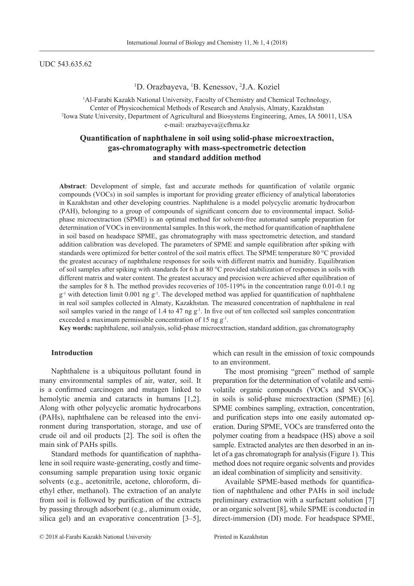#### UDC 543.635.62

# <sup>1</sup>D. Orazbayeva, <sup>1</sup>B. Kenessov, <sup>2</sup>J.A. Koziel

<sup>1</sup>Al-Farabi Kazakh National University, Faculty of Chemistry and Chemical Technology, Center of Physicochemical Methods of Research and Analysis, Almaty, Kazakhstan 2 <sup>2</sup> Iowa State University, Department of Agricultural and Biosystems Engineering, Ames, IA 50011, USA e-mail: orazbayeva@cfhma.kz

# **Quantification of naphthalene in soil using solid-phase microextraction, gas-chromatography with mass-spectrometric detection and standard addition method**

**Abstract**: Development of simple, fast and accurate methods for quantification of volatile organic compounds (VOCs) in soil samples is important for providing greater efficiency of analytical laboratories in Kazakhstan and other developing countries. Naphthalene is a model polycyclic aromatic hydrocarbon (PAH), belonging to a group of compounds of significant concern due to environmental impact. Solidphase microextraction (SPME) is an optimal method for solvent-free automated sample preparation for determination of VOCs in environmental samples. In this work, the method for quantification of naphthalene in soil based on headspace SPME, gas chromatography with mass spectrometric detection, and standard addition calibration was developed. The parameters of SPME and sample equilibration after spiking with standards were optimized for better control of the soil matrix effect. The SPME temperature 80 °C provided the greatest accuracy of naphthalene responses for soils with different matrix and humidity. Equilibration of soil samples after spiking with standards for 6 h at 80 °C provided stabilization of responses in soils with different matrix and water content. The greatest accuracy and precision were achieved after equilibration of the samples for 8 h. The method provides recoveries of 105-119% in the concentration range 0.01-0.1 ng  $g^{-1}$  with detection limit 0.001 ng  $g^{-1}$ . The developed method was applied for quantification of naphthalene in real soil samples collected in Almaty, Kazakhstan. The measured concentration of naphthalene in real soil samples varied in the range of 1.4 to 47 ng g<sup>-1</sup>. In five out of ten collected soil samples concentration exceeded a maximum permissible concentration of 15 ng  $g^{-1}$ .

**Key words:** naphthalene, soil analysis, solid-phase microextraction, standard addition, gas chromatography

## **Introduction**

Naphthalene is a ubiquitous pollutant found in many environmental samples of air, water, soil. It is a confirmed carcinogen and mutagen linked to hemolytic anemia and cataracts in humans [1,2]. Along with other polycyclic aromatic hydrocarbons (PAHs), naphthalene can be released into the environment during transportation, storage, and use of crude oil and oil products [2]. The soil is often the main sink of PAHs spills.

Standard methods for quantification of naphthalene in soil require waste-generating, costly and timeconsuming sample preparation using toxic organic solvents (e.g., acetonitrile, acetone, chloroform, diethyl ether, methanol). The extraction of an analyte from soil is followed by purification of the extracts by passing through adsorbent (e.g., aluminum oxide, silica gel) and an evaporative concentration [3–5], which can result in the emission of toxic compounds to an environment.

The most promising "green" method of sample preparation for the determination of volatile and semivolatile organic compounds (VOCs and SVOCs) in soils is solid-phase microextraction (SPME) [6]. SPME combines sampling, extraction, concentration, and purification steps into one easily automated operation. During SPME, VOCs are transferred onto the polymer coating from a headspace (HS) above a soil sample. Extracted analytes are then desorbed in an inlet of a gas chromatograph for analysis (Figure 1). This method does not require organic solvents and provides an ideal combination of simplicity and sensitivity.

Available SPME-based methods for quantification of naphthalene and other PAHs in soil include preliminary extraction with a surfactant solution [7] or an organic solvent [8], while SPME is conducted in direct-immersion (DI) mode. For headspace SPME,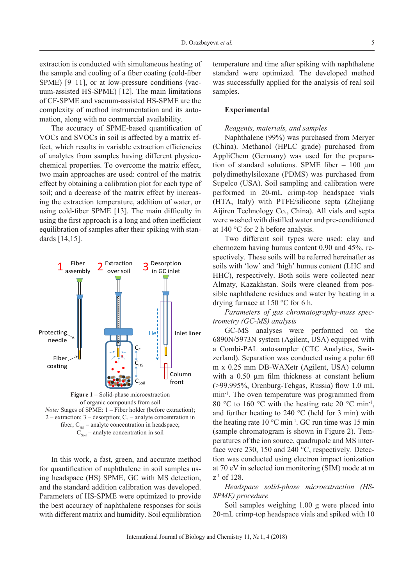extraction is conducted with simultaneous heating of the sample and cooling of a fiber coating (cold-fiber SPME) [9–11], or at low-pressure conditions (vacuum-assisted HS-SPME) [12]. The main limitations of CF-SPME and vacuum-assisted HS-SPME are the complexity of method instrumentation and its automation, along with no commercial availability.

The accuracy of SPME-based quantification of VOCs and SVOCs in soil is affected by a matrix effect, which results in variable extraction efficiencies of analytes from samples having different physicochemical properties. To overcome the matrix effect, two main approaches are used: control of the matrix effect by obtaining a calibration plot for each type of soil; and a decrease of the matrix effect by increasing the extraction temperature, addition of water, or using cold-fiber SPME [13]. The main difficulty in using the first approach is a long and often inefficient equilibration of samples after their spiking with standards [14,15].



of organic compounds from soil *Note:* Stages of SPME: 1 – Fiber holder (before extraction); 2 – extraction; 3 – desorption;  $C_F$  – analyte concentration in fiber;  $C_{\text{HS}}$  – analyte concentration in headspace;  $C_{\text{Soul}}$  – analyte concentration in soil

In this work, a fast, green, and accurate method for quantification of naphthalene in soil samples using headspace (HS) SPME, GC with MS detection, and the standard addition calibration was developed. Parameters of HS-SPME were optimized to provide the best accuracy of naphthalene responses for soils with different matrix and humidity. Soil equilibration temperature and time after spiking with naphthalene standard were optimized. The developed method was successfully applied for the analysis of real soil samples.

# **Experimental**

#### *Reagents, materials, and samples*

Naphthalene (99%) was purchased from Meryer (China). Methanol (HPLC grade) purchased from AppliChem (Germany) was used for the preparation of standard solutions. SPME fiber – 100 µm polydimethylsiloxane (PDMS) was purchased from Supelco (USA). Soil sampling and calibration were performed in 20-mL crimp-top headspace vials (HTA, Italy) with PTFE/silicone septa (Zhejiang Aijiren Technology Co., China). All vials and septa were washed with distilled water and pre-conditioned at 140 °C for 2 h before analysis.

Two different soil types were used: clay and chernozem having humus content 0.90 and 45%, respectively. These soils will be referred hereinafter as soils with 'low' and 'high' humus content (LHC and HHC), respectively. Both soils were collected near Almaty, Kazakhstan. Soils were cleaned from possible naphthalene residues and water by heating in a drying furnace at 150 °C for 6 h.

*Parameters of gas chromatography-mass spectrometry (GC-MS) analysis*

GC-MS analyses were performed on the 6890N/5973N system (Agilent, USA) equipped with a Combi-PAL autosampler (CTC Analytics, Switzerland). Separation was conducted using a polar 60 m x 0.25 mm DB-WAXetr (Agilent, USA) column with a 0.50  $\mu$ m film thickness at constant helium (>99.995%, Orenburg-Tehgas, Russia) flow 1.0 mL min-1. The oven temperature was programmed from 80 °C to 160 °C with the heating rate 20 °C min<sup>-1</sup>, and further heating to  $240 \degree C$  (held for 3 min) with the heating rate  $10^{\circ}$ C min<sup>-1</sup>. GC run time was 15 min (sample chromatogram is shown in Figure 2). Temperatures of the ion source, quadrupole and MS interface were 230, 150 and 240 °C, respectively. Detection was conducted using electron impact ionization at 70 eV in selected ion monitoring (SIM) mode at m  $z<sup>-1</sup>$  of 128.

# *Headspace solid-phase microextraction (HS-SPME) procedure*

Soil samples weighing 1.00 g were placed into 20-mL crimp-top headspace vials and spiked with 10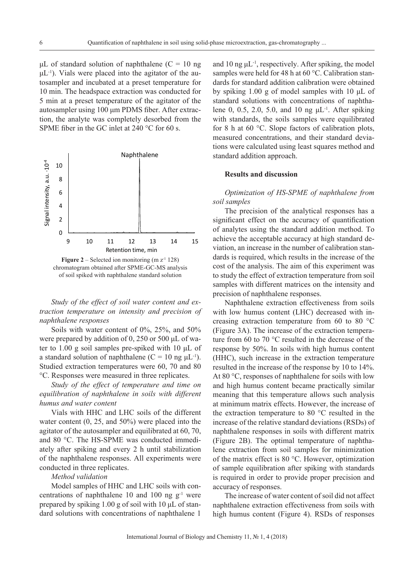μL of standard solution of naphthalene ( $C = 10$  ng  $\mu L^{-1}$ ). Vials were placed into the agitator of the autosampler and incubated at a preset temperature for 10 min. The headspace extraction was conducted for 5 min at a preset temperature of the agitator of the autosampler using 100 μm PDMS fiber. After extraction, the analyte was completely desorbed from the SPME fiber in the GC inlet at 240 °C for 60 s.



**Figure 2** – Selected ion monitoring (m  $z^{-1}$  128) chromatogram obtained after SPME-GC-MS analysis of soil spiked with naphthalene standard solution

*Study of the effect of soil water content and extraction temperature on intensity and precision of naphthalene responses*

Soils with water content of 0%, 25%, and 50% were prepared by addition of 0, 250 or 500 μL of water to 1.00 g soil samples pre-spiked with 10 μL of a standard solution of naphthalene  $(C = 10$  ng  $\mu L^{-1}$ ). Studied extraction temperatures were 60, 70 and 80 °C. Responses were measured in three replicates.

*Study of the effect of temperature and time on equilibration of naphthalene in soils with different humus and water content*

Vials with HHC and LHC soils of the different water content (0, 25, and 50%) were placed into the agitator of the autosampler and equilibrated at 60, 70, and 80 °C. The HS-SPME was conducted immediately after spiking and every 2 h until stabilization of the naphthalene responses. All experiments were conducted in three replicates.

# *Method validation*

Model samples of HHC and LHC soils with concentrations of naphthalene 10 and 100 ng  $g^{-1}$  were prepared by spiking 1.00 g of soil with 10 μL of standard solutions with concentrations of naphthalene 1

and 10 ng  $\mu L^{-1}$ , respectively. After spiking, the model samples were held for 48 h at 60 °C. Calibration standards for standard addition calibration were obtained by spiking 1.00 g of model samples with 10 μL of standard solutions with concentrations of naphthalene 0, 0.5, 2.0, 5.0, and 10 ng  $\mu L^{-1}$ . After spiking with standards, the soils samples were equilibrated for 8 h at 60 °C. Slope factors of calibration plots, measured concentrations, and their standard deviations were calculated using least squares method and standard addition approach.

### **Results and discussion**

*Optimization of HS-SPME of naphthalene from soil samples*

The precision of the analytical responses has a significant effect on the accuracy of quantification of analytes using the standard addition method. To achieve the acceptable accuracy at high standard deviation, an increase in the number of calibration standards is required, which results in the increase of the cost of the analysis. The aim of this experiment was to study the effect of extraction temperature from soil samples with different matrices on the intensity and precision of naphthalene responses.

Naphthalene extraction effectiveness from soils with low humus content (LHC) decreased with increasing extraction temperature from 60 to 80 °C (Figure 3A). The increase of the extraction temperature from 60 to 70 °C resulted in the decrease of the response by 50%. In soils with high humus content (HHC), such increase in the extraction temperature resulted in the increase of the response by 10 to 14%. At 80 °C, responses of naphthalene for soils with low and high humus content became practically similar meaning that this temperature allows such analysis at minimum matrix effects. However, the increase of the extraction temperature to 80 °C resulted in the increase of the relative standard deviations (RSDs) of naphthalene responses in soils with different matrix (Figure 2B). The optimal temperature of naphthalene extraction from soil samples for minimization of the matrix effect is 80 °C. However, optimization of sample equilibration after spiking with standards is required in order to provide proper precision and accuracy of responses.

The increase of water content of soil did not affect naphthalene extraction effectiveness from soils with high humus content (Figure 4). RSDs of responses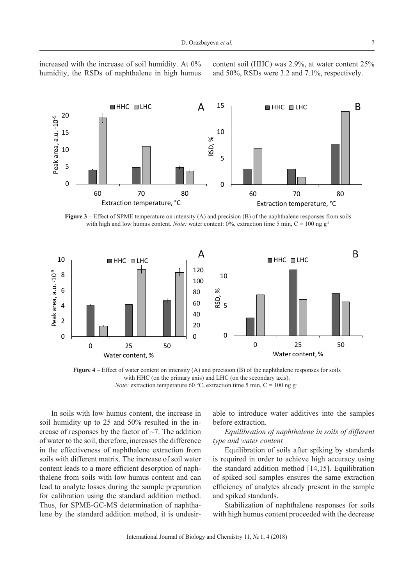increased with the increase of soil humidity. At 0% humidity, the RSDs of naphthalene in high humus content soil (HHC) was 2.9%, at water content 25% and 50%, RSDs were 3.2 and 7.1%, respectively.



**Figure 3** – Effect of SPME temperature on intensity (A) and precision (B) of the naphthalene responses from soils with high and low humus content. *Note:* water content: 0%, extraction time 5 min, C = 100 ng g<sup>-1</sup>



**Figure 4** – Effect of water content on intensity (A) and precision (B) of the naphthalene responses for soils with HHC (on the primary axis) and LHC (on the secondary axis). *Note:* extraction temperature 60 °C, extraction time 5 min,  $C = 100$  ng g<sup>-1</sup>

In soils with low humus content, the increase in soil humidity up to 25 and 50% resulted in the increase of responses by the factor of  $\sim$ 7. The addition of water to the soil, therefore, increases the difference in the effectiveness of naphthalene extraction from soils with different matrix. The increase of soil water content leads to a more efficient desorption of naphthalene from soils with low humus content and can lead to analyte losses during the sample preparation for calibration using the standard addition method. Thus, for SPME-GC-MS determination of naphthalene by the standard addition method, it is undesirable to introduce water additives into the samples before extraction.

*Equilibration of naphthalene in soils of different type and water content*

Equilibration of soils after spiking by standards is required in order to achieve high accuracy using the standard addition method [14,15]. Equilibration of spiked soil samples ensures the same extraction efficiency of analytes already present in the sample and spiked standards.

Stabilization of naphthalene responses for soils with high humus content proceeded with the decrease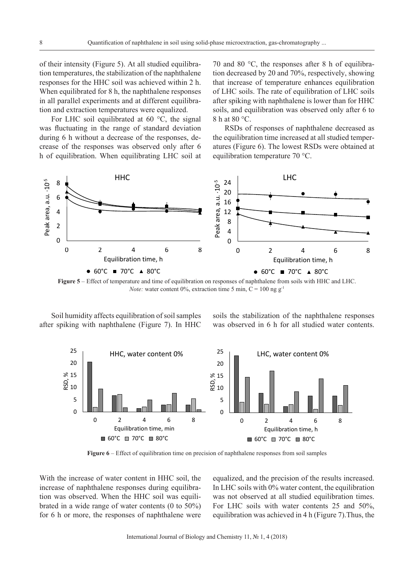of their intensity (Figure 5). At all studied equilibration temperatures, the stabilization of the naphthalene responses for the HHC soil was achieved within 2 h. When equilibrated for 8 h, the naphthalene responses in all parallel experiments and at different equilibration and extraction temperatures were equalized.

For LHC soil equilibrated at 60 °C, the signal was fluctuating in the range of standard deviation during 6 h without a decrease of the responses, decrease of the responses was observed only after 6 h of equilibration. When equilibrating LHC soil at

70 and 80 °C, the responses after 8 h of equilibration decreased by 20 and 70%, respectively, showing that increase of temperature enhances equilibration of LHC soils. The rate of equilibration of LHC soils after spiking with naphthalene is lower than for HHC soils, and equilibration was observed only after 6 to 8 h at 80 °C.

RSDs of responses of naphthalene decreased as the equilibration time increased at all studied temperatures (Figure 6). The lowest RSDs were obtained at equilibration temperature 70 °C.



**Figure 5** – Effect of temperature and time of equilibration on responses of naphthalene from soils with HHC and LHC. *Note:* water content 0%, extraction time 5 min,  $C = 100$  ng  $g^{-1}$ 

Soil humidity affects equilibration of soil samples after spiking with naphthalene (Figure 7). In HHC soils the stabilization of the naphthalene responses was observed in 6 h for all studied water contents.



**Figure 6** – Effect of equilibration time on precision of naphthalene responses from soil samples

With the increase of water content in HHC soil, the increase of naphthalene responses during equilibration was observed. When the HHC soil was equilibrated in a wide range of water contents (0 to 50%) for 6 h or more, the responses of naphthalene were

equalized, and the precision of the results increased. In LHC soils with 0% water content, the equilibration was not observed at all studied equilibration times. For LHC soils with water contents 25 and 50%, equilibration was achieved in 4 h (Figure 7).Thus, the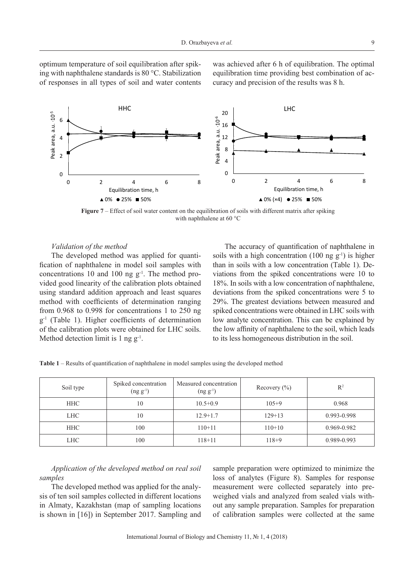optimum temperature of soil equilibration after spiking with naphthalene standards is 80 °C. Stabilization of responses in all types of soil and water contents was achieved after 6 h of equilibration. The optimal equilibration time providing best combination of accuracy and precision of the results was 8 h.



**Figure** 7 – Effect of soil water content on the equilibration of soils with different matrix after spiking with naphthalene at 60 °C

#### *Validation of the method*

The developed method was applied for quantification of naphthalene in model soil samples with concentrations 10 and 100 ng  $g^{-1}$ . The method provided good linearity of the calibration plots obtained using standard addition approach and least squares method with coefficients of determination ranging from 0.968 to 0.998 for concentrations 1 to 250 ng g-1 (Table 1). Higher coefficients of determination of the calibration plots were obtained for LHC soils. Method detection limit is 1 ng g<sup>-1</sup>.

The accuracy of quantification of naphthalene in soils with a high concentration (100 ng  $g^{-1}$ ) is higher than in soils with a low concentration (Table 1). Deviations from the spiked concentrations were 10 to 18%. In soils with a low concentration of naphthalene, deviations from the spiked concentrations were 5 to 29%. The greatest deviations between measured and spiked concentrations were obtained in LHC soils with low analyte concentration. This can be explained by the low affinity of naphthalene to the soil, which leads to its less homogeneous distribution in the soil.

| Soil type  | Spiked concentration<br>$(ng g^{-1})$ | Measured concentration<br>$(ng g^{-1})$ | Recovery $(\% )$ | $R^2$       |
|------------|---------------------------------------|-----------------------------------------|------------------|-------------|
| <b>HHC</b> | 10                                    | $10.5 + 0.9$                            | $105+9$          | 0.968       |
| <b>LHC</b> | 10                                    | $12.9 + 1.7$                            | $129+13$         | 0.993-0.998 |
| <b>HHC</b> | 100                                   | $110+11$                                | $110+10$         | 0.969-0.982 |
| LHC .      | 100                                   | $118 + 11$                              | $118 + 9$        | 0.989-0.993 |

**Table 1** – Results of quantification of naphthalene in model samples using the developed method

*Application of the developed method on real soil samples*

The developed method was applied for the analysis of ten soil samples collected in different locations in Almaty, Kazakhstan (map of sampling locations is shown in [16]) in September 2017. Sampling and sample preparation were optimized to minimize the loss of analytes (Figure 8). Samples for response measurement were collected separately into preweighed vials and analyzed from sealed vials without any sample preparation. Samples for preparation of calibration samples were collected at the same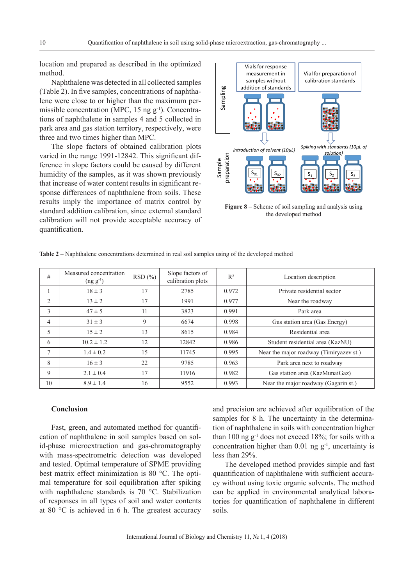location and prepared as described in the optimized method.

Naphthalene was detected in all collected samples (Table 2). In five samples, concentrations of naphthalene were close to or higher than the maximum permissible concentration (MPC,  $15$  ng  $g^{-1}$ ). Concentrations of naphthalene in samples 4 and 5 collected in park area and gas station territory, respectively, were three and two times higher than MPC.

The slope factors of obtained calibration plots varied in the range 1991-12842. This significant difference in slope factors could be caused by different humidity of the samples, as it was shown previously that increase of water content results in significant response differences of naphthalene from soils. These results imply the importance of matrix control by standard addition calibration, since external standard calibration will not provide acceptable accuracy of quantification.



**Figure 8** – Scheme of soil sampling and analysis using the developed method

| #  | Measured concentration<br>$(ng g^{-1})$ | RSD(%) | Slope factors of<br>calibration plots | $R^2$ | Location description                    |
|----|-----------------------------------------|--------|---------------------------------------|-------|-----------------------------------------|
|    | $18 \pm 3$                              | 17     | 2785                                  | 0.972 | Private residential sector              |
| 2  | $13 \pm 2$                              | 17     | 1991                                  | 0.977 | Near the roadway                        |
| 3  | $47 \pm 5$                              | 11     | 3823                                  | 0.991 | Park area                               |
| 4  | $31 \pm 3$                              | 9      | 6674                                  | 0.998 | Gas station area (Gas Energy)           |
| 5  | $15 \pm 2$                              | 13     | 8615                                  | 0.984 | Residential area                        |
| 6  | $10.2 \pm 1.2$                          | 12     | 12842                                 | 0.986 | Student residential area (KazNU)        |
| 7  | $1.4 \pm 0.2$                           | 15     | 11745                                 | 0.995 | Near the major roadway (Timiryazev st.) |
| 8  | $16 \pm 3$                              | 22     | 9785                                  | 0.963 | Park area next to roadway               |
| 9  | $2.1 \pm 0.4$                           | 17     | 11916                                 | 0.982 | Gas station area (KazMunaiGaz)          |
| 10 | $8.9 \pm 1.4$                           | 16     | 9552                                  | 0.993 | Near the major roadway (Gagarin st.)    |

**Table 2** – Naphthalene concentrations determined in real soil samples using of the developed method

# **Conclusion**

Fast, green, and automated method for quantification of naphthalene in soil samples based on solid-phase microextraction and gas-chromatography with mass-spectrometric detection was developed and tested. Optimal temperature of SPME providing best matrix effect minimization is 80 °C. The optimal temperature for soil equilibration after spiking with naphthalene standards is 70 °C. Stabilization of responses in all types of soil and water contents at 80 °C is achieved in 6 h. The greatest accuracy

and precision are achieved after equilibration of the samples for 8 h. The uncertainty in the determination of naphthalene in soils with concentration higher than 100 ng  $g^{-1}$  does not exceed 18%; for soils with a concentration higher than  $0.01$  ng  $g^{-1}$ , uncertainty is less than 29%.

The developed method provides simple and fast quantification of naphthalene with sufficient accuracy without using toxic organic solvents. The method can be applied in environmental analytical laboratories for quantification of naphthalene in different soils.